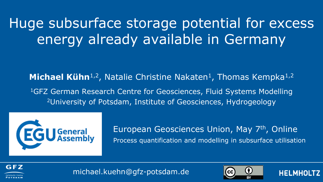Huge subsurface storage potential for excess energy already available in Germany

**Michael Kühn**<sup>1,2</sup>, Natalie Christine Nakaten<sup>1</sup>, Thomas Kempka<sup>1,2</sup> <sup>1</sup>GFZ German Research Centre for Geosciences, Fluid Systems Modelling <sup>2</sup>University of Potsdam, Institute of Geosciences, Hydrogeology



European Geosciences Union, May 7<sup>th</sup>, Online Process quantification and modelling in subsurface utilisation







**HELMHOL**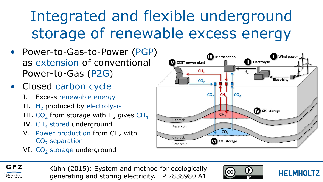# Integrated and flexible underground storage of renewable excess energy

- Power-to-Gas-to-Power (PGP) as extension of conventional Power-to-Gas (P2G)
- Closed carbon cycle
	- I. Excess renewable energy
	- II.  $H_2$  produced by electrolysis
	- III.  $\text{CO}_2$  from storage with H<sub>2</sub> gives CH<sub>4</sub>
	- IV.  $CH<sub>4</sub>$  stored underground
	- V. Power production from  $CH<sub>4</sub>$  with  $CO<sub>2</sub>$  separation
	- VI.  $CO<sub>2</sub>$  storage underground





Kühn (2015): System and method for ecologically generating and storing electricity. EP 2838980 A1



**HELMHOLTZ**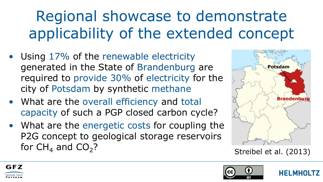# Regional showcase to demonstrate applicability of the extended concept

- Using 17% of the renewable electricity generated in the State of Brandenburg are required to provide 30% of electricity for the city of Potsdam by synthetic methane
- What are the overall efficiency and total capacity of such a PGP closed carbon cycle?
- What are the energetic costs for coupling the P2G concept to geological storage reservoirs for  $CH<sub>4</sub>$  and  $CO<sub>2</sub>$ ?



Streibel et al. (2013)



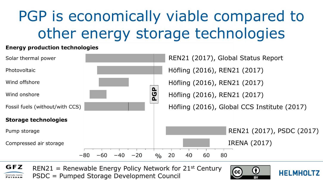## PGP is economically viable compared to other energy storage technologies

#### **Energy production technologies**



GFZ REN21 = Renewable Energy Policy Network for  $21^{st}$  Century PSDC = Pumped Storage Development Council Helmholtz Centr POTSDAM



**HELMHOLTZ**